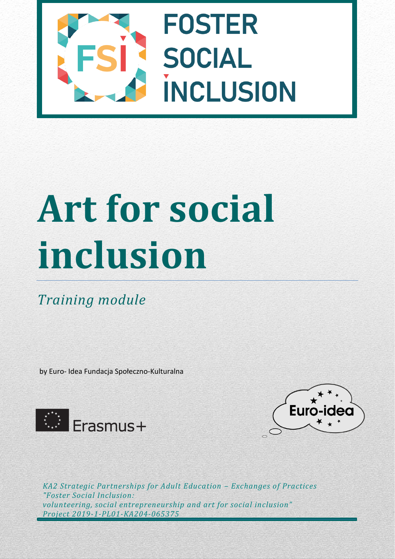

# **Art for social inclusion**

*Training module* 

by Euro- Idea Fundacja Społeczno-Kulturalna





*KA2 Strategic Partnerships for Adult Education – Exchanges of Practices "Foster Social Inclusion: volunteering, social entrepreneurship and art for social inclusion" Project 2019-1-PL01-KA204-065375*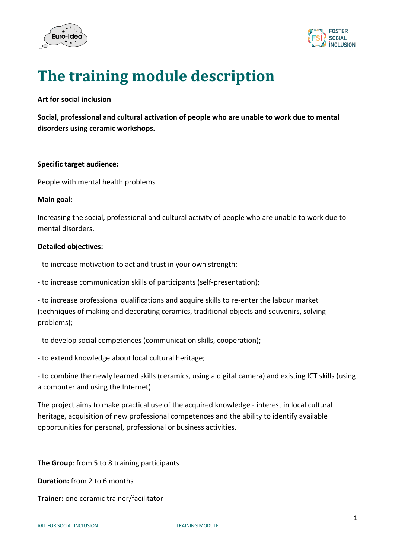



# **The training module description**

# **Art for social inclusion**

**Social, professional and cultural activation of people who are unable to work due to mental disorders using ceramic workshops.**

#### **Specific target audience:**

People with mental health problems

### **Main goal:**

Increasing the social, professional and cultural activity of people who are unable to work due to mental disorders.

## **Detailed objectives:**

- to increase motivation to act and trust in your own strength;

- to increase communication skills of participants (self-presentation);

- to increase professional qualifications and acquire skills to re-enter the labour market (techniques of making and decorating ceramics, traditional objects and souvenirs, solving problems);

- to develop social competences (communication skills, cooperation);

- to extend knowledge about local cultural heritage;

- to combine the newly learned skills (ceramics, using a digital camera) and existing ICT skills (using a computer and using the Internet)

The project aims to make practical use of the acquired knowledge - interest in local cultural heritage, acquisition of new professional competences and the ability to identify available opportunities for personal, professional or business activities.

**The Group**: from 5 to 8 training participants

**Duration:** from 2 to 6 months

**Trainer:** one ceramic trainer/facilitator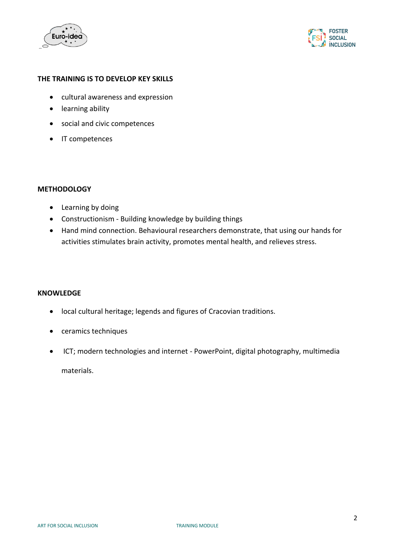



# **THE TRAINING IS TO DEVELOP KEY SKILLS**

- cultural awareness and expression
- learning ability
- social and civic competences
- IT competences

#### **METHODOLOGY**

- Learning by doing
- Constructionism Building knowledge by building things
- Hand mind connection. Behavioural researchers demonstrate, that using our hands for activities stimulates brain activity, promotes mental health, and relieves stress.

#### **KNOWLEDGE**

- local cultural heritage; legends and figures of Cracovian traditions.
- ceramics techniques
- ICT; modern technologies and internet PowerPoint, digital photography, multimedia

materials.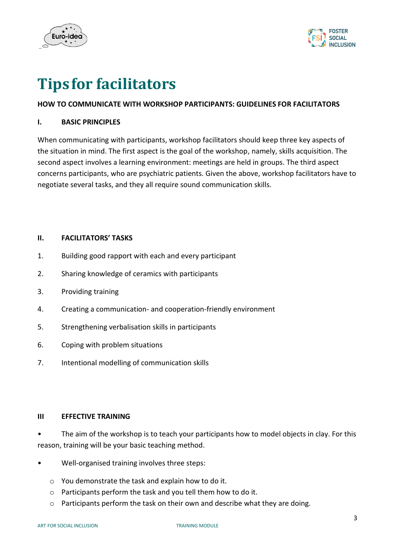



# **Tipsfor facilitators**

# **HOW TO COMMUNICATE WITH WORKSHOP PARTICIPANTS: GUIDELINES FOR FACILITATORS**

# **I. BASIC PRINCIPLES**

When communicating with participants, workshop facilitators should keep three key aspects of the situation in mind. The first aspect is the goal of the workshop, namely, skills acquisition. The second aspect involves a learning environment: meetings are held in groups. The third aspect concerns participants, who are psychiatric patients. Given the above, workshop facilitators have to negotiate several tasks, and they all require sound communication skills.

# **II. FACILITATORS' TASKS**

- 1. Building good rapport with each and every participant
- 2. Sharing knowledge of ceramics with participants
- 3. Providing training
- 4. Creating a communication- and cooperation-friendly environment
- 5. Strengthening verbalisation skills in participants
- 6. Coping with problem situations
- 7. Intentional modelling of communication skills

# **III EFFECTIVE TRAINING**

• The aim of the workshop is to teach your participants how to model objects in clay. For this reason, training will be your basic teaching method.

- Well-organised training involves three steps:
	- o You demonstrate the task and explain how to do it.
	- o Participants perform the task and you tell them how to do it.
	- o Participants perform the task on their own and describe what they are doing.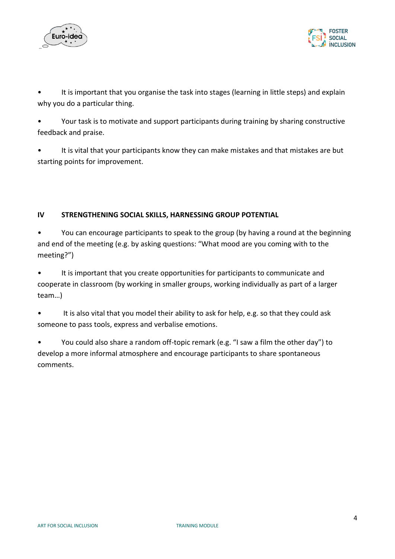



It is important that you organise the task into stages (learning in little steps) and explain why you do a particular thing.

• Your task is to motivate and support participants during training by sharing constructive feedback and praise.

• It is vital that your participants know they can make mistakes and that mistakes are but starting points for improvement.

# **IV STRENGTHENING SOCIAL SKILLS, HARNESSING GROUP POTENTIAL**

• You can encourage participants to speak to the group (by having a round at the beginning and end of the meeting (e.g. by asking questions: "What mood are you coming with to the meeting?")

• It is important that you create opportunities for participants to communicate and cooperate in classroom (by working in smaller groups, working individually as part of a larger team…)

• It is also vital that you model their ability to ask for help, e.g. so that they could ask someone to pass tools, express and verbalise emotions.

• You could also share a random off-topic remark (e.g. "I saw a film the other day") to develop a more informal atmosphere and encourage participants to share spontaneous comments.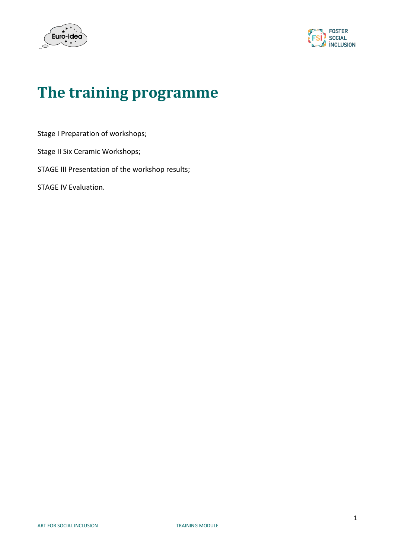



# **The training programme**

Stage I Preparation of workshops;

Stage II Six Ceramic Workshops;

STAGE III Presentation of the workshop results;

STAGE IV Evaluation.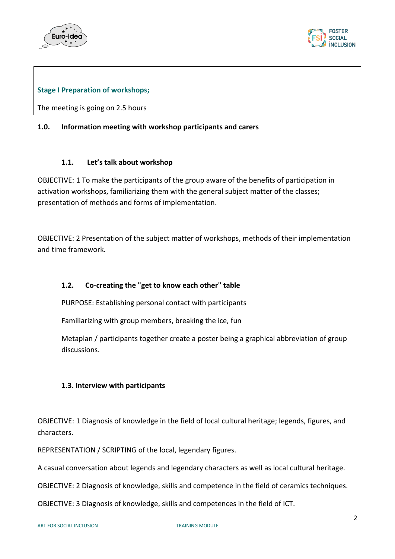



# **Stage I Preparation of workshops;**

The meeting is going on 2.5 hours

# **1.0. Information meeting with workshop participants and carers**

## **1.1. Let's talk about workshop**

OBJECTIVE: 1 To make the participants of the group aware of the benefits of participation in activation workshops, familiarizing them with the general subject matter of the classes; presentation of methods and forms of implementation.

OBJECTIVE: 2 Presentation of the subject matter of workshops, methods of their implementation and time framework.

# **1.2. Co-creating the "get to know each other" table**

PURPOSE: Establishing personal contact with participants

Familiarizing with group members, breaking the ice, fun

Metaplan / participants together create a poster being a graphical abbreviation of group discussions.

# **1.3. Interview with participants**

OBJECTIVE: 1 Diagnosis of knowledge in the field of local cultural heritage; legends, figures, and characters.

REPRESENTATION / SCRIPTING of the local, legendary figures.

A casual conversation about legends and legendary characters as well as local cultural heritage.

OBJECTIVE: 2 Diagnosis of knowledge, skills and competence in the field of ceramics techniques.

OBJECTIVE: 3 Diagnosis of knowledge, skills and competences in the field of ICT.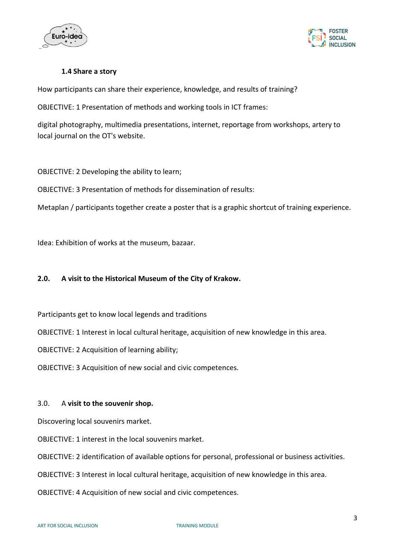



# **1.4 Share a story**

How participants can share their experience, knowledge, and results of training?

OBJECTIVE: 1 Presentation of methods and working tools in ICT frames:

digital photography, multimedia presentations, internet, reportage from workshops, artery to local journal on the OT's website.

OBJECTIVE: 2 Developing the ability to learn;

OBJECTIVE: 3 Presentation of methods for dissemination of results:

Metaplan / participants together create a poster that is a graphic shortcut of training experience.

Idea: Exhibition of works at the museum, bazaar.

# **2.0. A visit to the Historical Museum of the City of Krakow.**

Participants get to know local legends and traditions

OBJECTIVE: 1 Interest in local cultural heritage, acquisition of new knowledge in this area.

OBJECTIVE: 2 Acquisition of learning ability;

OBJECTIVE: 3 Acquisition of new social and civic competences.

#### 3.0. A **visit to the souvenir shop.**

Discovering local souvenirs market.

OBJECTIVE: 1 interest in the local souvenirs market.

OBJECTIVE: 2 identification of available options for personal, professional or business activities.

OBJECTIVE: 3 Interest in local cultural heritage, acquisition of new knowledge in this area.

OBJECTIVE: 4 Acquisition of new social and civic competences.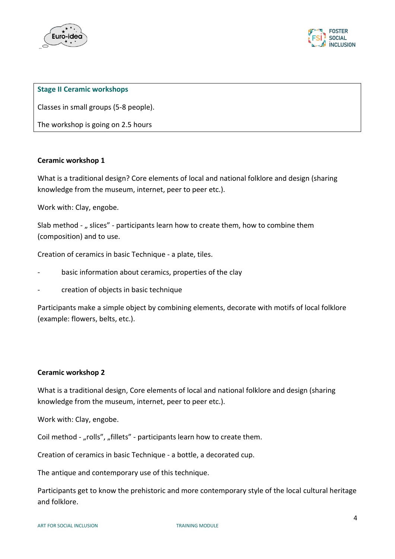



## **Stage II Ceramic workshops**

Classes in small groups (5-8 people).

The workshop is going on 2.5 hours

## **Ceramic workshop 1**

What is a traditional design? Core elements of local and national folklore and design (sharing knowledge from the museum, internet, peer to peer etc.).

Work with: Clay, engobe.

Slab method - " slices" - participants learn how to create them, how to combine them (composition) and to use.

Creation of ceramics in basic Technique - a plate, tiles.

- basic information about ceramics, properties of the clay
- creation of objects in basic technique

Participants make a simple object by combining elements, decorate with motifs of local folklore (example: flowers, belts, etc.).

#### **Ceramic workshop 2**

What is a traditional design, Core elements of local and national folklore and design (sharing knowledge from the museum, internet, peer to peer etc.).

Work with: Clay, engobe.

Coil method - "rolls", "fillets" - participants learn how to create them.

Creation of ceramics in basic Technique - a bottle, a decorated cup.

The antique and contemporary use of this technique.

Participants get to know the prehistoric and more contemporary style of the local cultural heritage and folklore.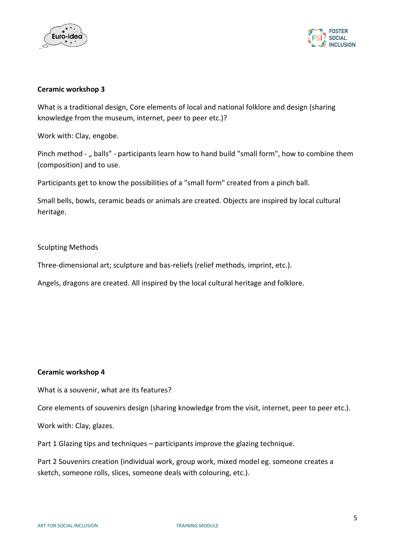



# **Ceramic workshop 3**

What is a traditional design, Core elements of local and national folklore and design (sharing knowledge from the museum, internet, peer to peer etc.)?

Work with: Clay, engobe.

Pinch method - " balls" - participants learn how to hand build "small form", how to combine them (composition) and to use.

Participants get to know the possibilities of a "small form" created from a pinch ball.

Small bells, bowls, ceramic beads or animals are created. Objects are inspired by local cultural heritage.

## Sculpting Methods

Three-dimensional art; sculpture and bas-reliefs (relief methods, imprint, etc.).

Angels, dragons are created. All inspired by the local cultural heritage and folklore.

#### **Ceramic workshop 4**

What is a souvenir, what are its features?

Core elements of souvenirs design (sharing knowledge from the visit, internet, peer to peer etc.).

Work with: Clay, glazes.

Part 1 Glazing tips and techniques – participants improve the glazing technique.

Part 2 Souvenirs creation (individual work, group work, mixed model eg. someone creates a sketch, someone rolls, slices, someone deals with colouring, etc.).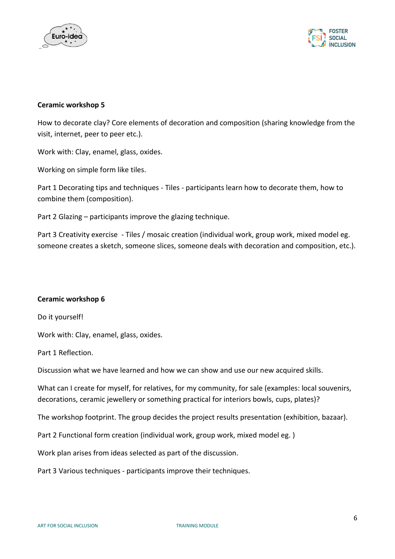



## **Ceramic workshop 5**

How to decorate clay? Core elements of decoration and composition (sharing knowledge from the visit, internet, peer to peer etc.).

Work with: Clay, enamel, glass, oxides.

Working on simple form like tiles.

Part 1 Decorating tips and techniques - Tiles - participants learn how to decorate them, how to combine them (composition).

Part 2 Glazing – participants improve the glazing technique.

Part 3 Creativity exercise - Tiles / mosaic creation (individual work, group work, mixed model eg. someone creates a sketch, someone slices, someone deals with decoration and composition, etc.).

#### **Ceramic workshop 6**

Do it yourself!

Work with: Clay, enamel, glass, oxides.

Part 1 Reflection.

Discussion what we have learned and how we can show and use our new acquired skills.

What can I create for myself, for relatives, for my community, for sale (examples: local souvenirs, decorations, ceramic jewellery or something practical for interiors bowls, cups, plates)?

The workshop footprint. The group decides the project results presentation (exhibition, bazaar).

Part 2 Functional form creation (individual work, group work, mixed model eg. )

Work plan arises from ideas selected as part of the discussion.

Part 3 Various techniques - participants improve their techniques.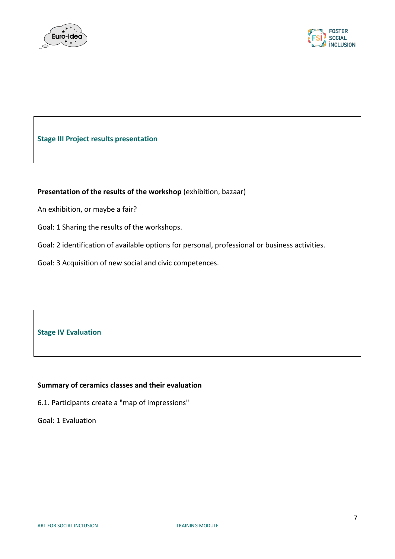



# **Stage III Project results presentation**

# **Presentation of the results of the workshop** (exhibition, bazaar)

An exhibition, or maybe a fair?

Goal: 1 Sharing the results of the workshops.

Goal: 2 identification of available options for personal, professional or business activities.

Goal: 3 Acquisition of new social and civic competences.

**Stage IV Evaluation**

# **Summary of ceramics classes and their evaluation**

6.1. Participants create a "map of impressions"

Goal: 1 Evaluation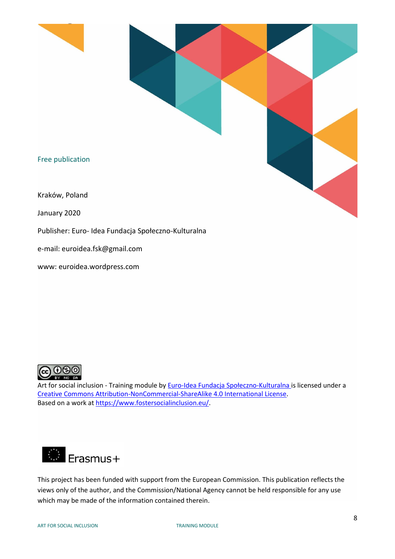

Publisher: Euro- Idea Fundacja Społeczno-Kulturalna

e-mail: euroidea.fsk@gmail.com

www: euroidea.wordpress.com

![](_page_12_Picture_4.jpeg)

Art for social inclusion - Training module by **Euro-[Idea Fundacja Społeczno](https://euroidea.wordpress.com/)-Kulturalna** is licensed under a [Creative Commons Attribution-NonCommercial-ShareAlike 4.0 International License.](http://creativecommons.org/licenses/by-nc-sa/4.0/) Based on a work at [https://www.fostersocialinclusion.eu/.](https://www.fostersocialinclusion.eu/)

![](_page_12_Picture_6.jpeg)

This project has been funded with support from the European Commission. This publication reflects the views only of the author, and the Commission/National Agency cannot be held responsible for any use which may be made of the information contained therein.